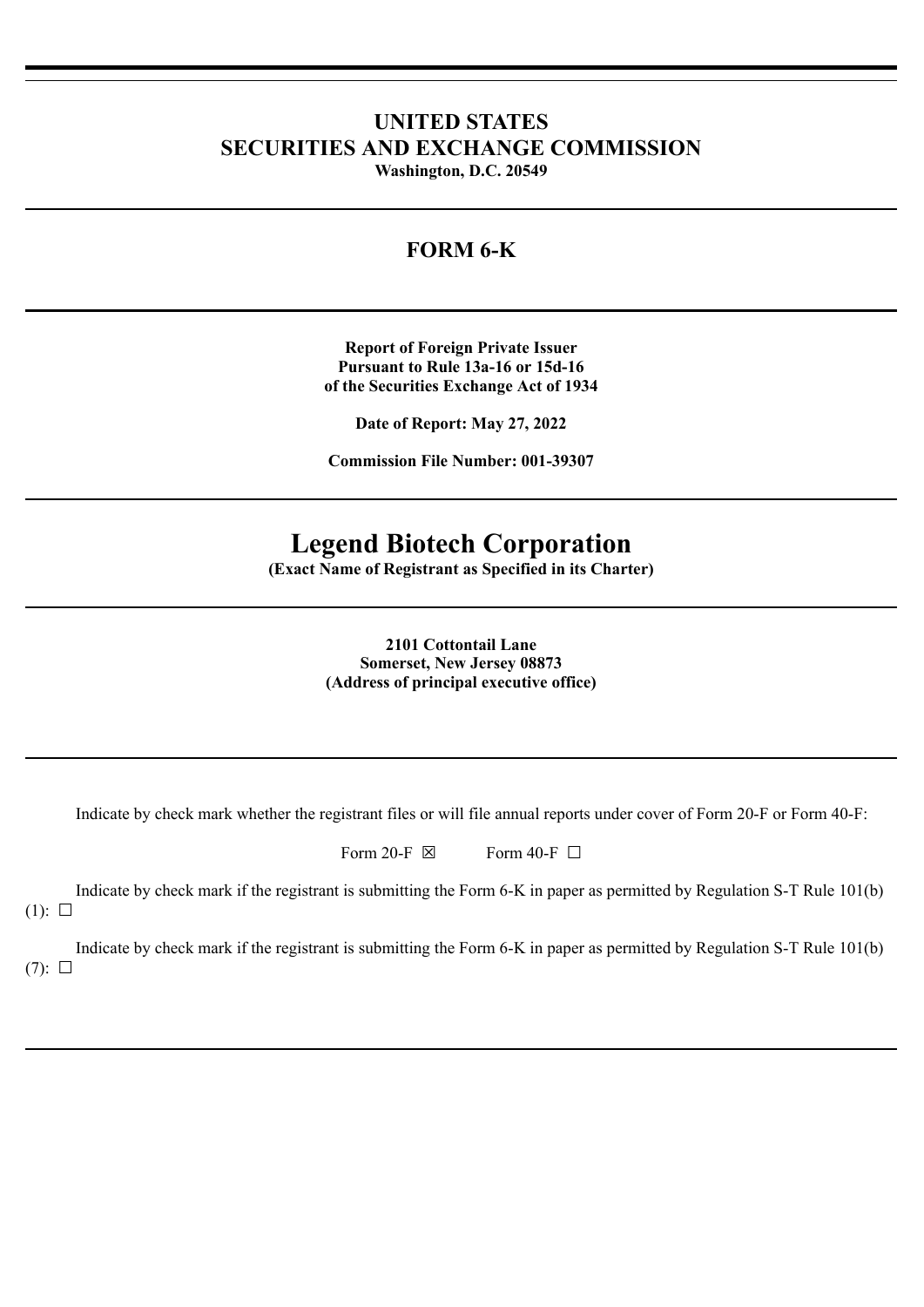# **UNITED STATES SECURITIES AND EXCHANGE COMMISSION Washington, D.C. 20549**

# **FORM 6-K**

**Report of Foreign Private Issuer Pursuant to Rule 13a-16 or 15d-16 of the Securities Exchange Act of 1934**

**Date of Report: May 27, 2022**

**Commission File Number: 001-39307**

# **Legend Biotech Corporation**

**(Exact Name of Registrant as Specified in its Charter)**

**2101 Cottontail Lane Somerset, New Jersey 08873 (Address of principal executive office)**

Indicate by check mark whether the registrant files or will file annual reports under cover of Form 20-F or Form 40-F:

| Form 20-F $\boxtimes$ |  | Form 40-F $\Box$ |  |
|-----------------------|--|------------------|--|
|-----------------------|--|------------------|--|

Indicate by check mark if the registrant is submitting the Form 6-K in paper as permitted by Regulation S-T Rule 101(b)  $(1): \Box$ 

Indicate by check mark if the registrant is submitting the Form 6-K in paper as permitted by Regulation S-T Rule 101(b)  $(7): \Box$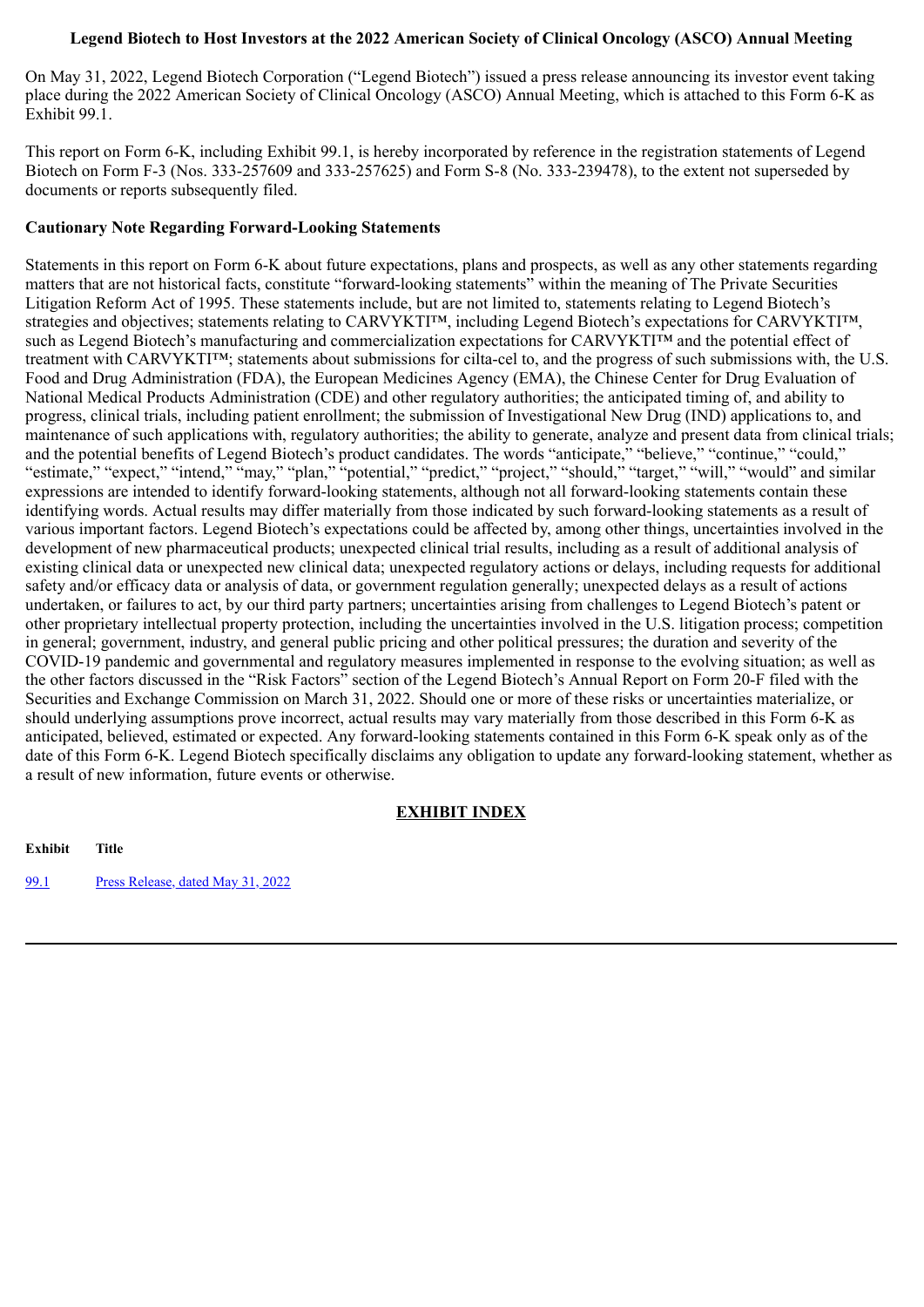## **Legend Biotech to Host Investors at the 2022 American Society of Clinical Oncology (ASCO) Annual Meeting**

On May 31, 2022, Legend Biotech Corporation ("Legend Biotech") issued a press release announcing its investor event taking place during the 2022 American Society of Clinical Oncology (ASCO) Annual Meeting, which is attached to this Form 6-K as Exhibit 99.1.

This report on Form 6-K, including Exhibit 99.1, is hereby incorporated by reference in the registration statements of Legend Biotech on Form F-3 (Nos. 333-257609 and 333-257625) and Form S-8 (No. 333-239478), to the extent not superseded by documents or reports subsequently filed.

#### **Cautionary Note Regarding Forward-Looking Statements**

Statements in this report on Form 6-K about future expectations, plans and prospects, as well as any other statements regarding matters that are not historical facts, constitute "forward-looking statements" within the meaning of The Private Securities Litigation Reform Act of 1995. These statements include, but are not limited to, statements relating to Legend Biotech's strategies and objectives; statements relating to CARVYKTI™, including Legend Biotech's expectations for CARVYKTI™, such as Legend Biotech's manufacturing and commercialization expectations for CARVYKTI™ and the potential effect of treatment with CARVYKTI™; statements about submissions for cilta-cel to, and the progress of such submissions with, the U.S. Food and Drug Administration (FDA), the European Medicines Agency (EMA), the Chinese Center for Drug Evaluation of National Medical Products Administration (CDE) and other regulatory authorities; the anticipated timing of, and ability to progress, clinical trials, including patient enrollment; the submission of Investigational New Drug (IND) applications to, and maintenance of such applications with, regulatory authorities; the ability to generate, analyze and present data from clinical trials; and the potential benefits of Legend Biotech's product candidates. The words "anticipate," "believe," "continue," "could," "estimate," "expect," "intend," "may," "plan," "potential," "predict," "project," "should," "target," "will," "would" and similar expressions are intended to identify forward-looking statements, although not all forward-looking statements contain these identifying words. Actual results may differ materially from those indicated by such forward-looking statements as a result of various important factors. Legend Biotech's expectations could be affected by, among other things, uncertainties involved in the development of new pharmaceutical products; unexpected clinical trial results, including as a result of additional analysis of existing clinical data or unexpected new clinical data; unexpected regulatory actions or delays, including requests for additional safety and/or efficacy data or analysis of data, or government regulation generally; unexpected delays as a result of actions undertaken, or failures to act, by our third party partners; uncertainties arising from challenges to Legend Biotech's patent or other proprietary intellectual property protection, including the uncertainties involved in the U.S. litigation process; competition in general; government, industry, and general public pricing and other political pressures; the duration and severity of the COVID-19 pandemic and governmental and regulatory measures implemented in response to the evolving situation; as well as the other factors discussed in the "Risk Factors" section of the Legend Biotech's Annual Report on Form 20-F filed with the Securities and Exchange Commission on March 31, 2022. Should one or more of these risks or uncertainties materialize, or should underlying assumptions prove incorrect, actual results may vary materially from those described in this Form 6-K as anticipated, believed, estimated or expected. Any forward-looking statements contained in this Form 6-K speak only as of the date of this Form 6-K. Legend Biotech specifically disclaims any obligation to update any forward-looking statement, whether as a result of new information, future events or otherwise.

## **EXHIBIT INDEX**

**Exhibit Title** [99.1](#page-3-0) Press [Release,](#page-3-0) dated May 31, 2022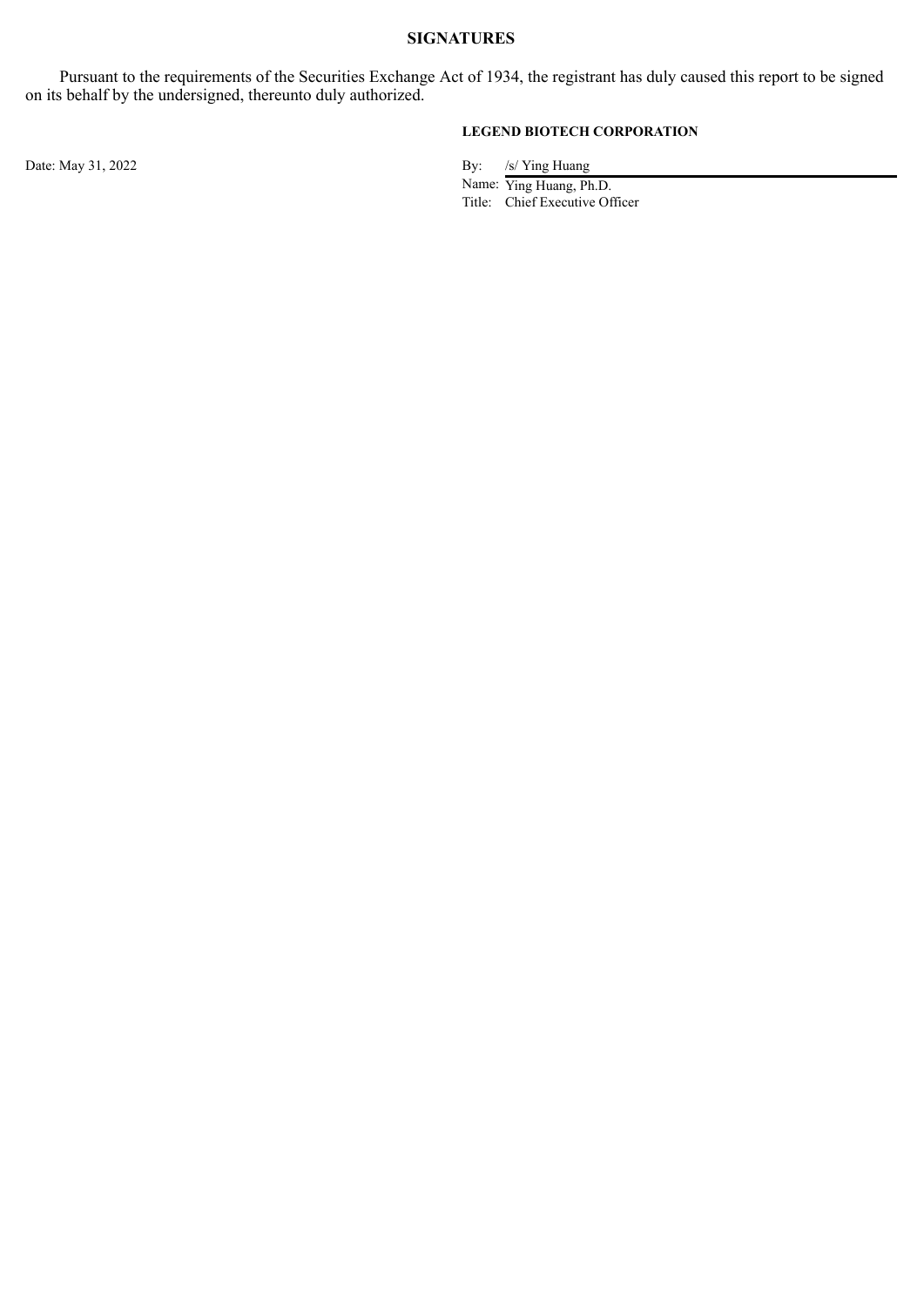# **SIGNATURES**

Pursuant to the requirements of the Securities Exchange Act of 1934, the registrant has duly caused this report to be signed on its behalf by the undersigned, thereunto duly authorized.

## **LEGEND BIOTECH CORPORATION**

Date: May 31, 2022 By: /s/ Ying Huang

Name: Ying Huang, Ph.D. Title: Chief Executive Officer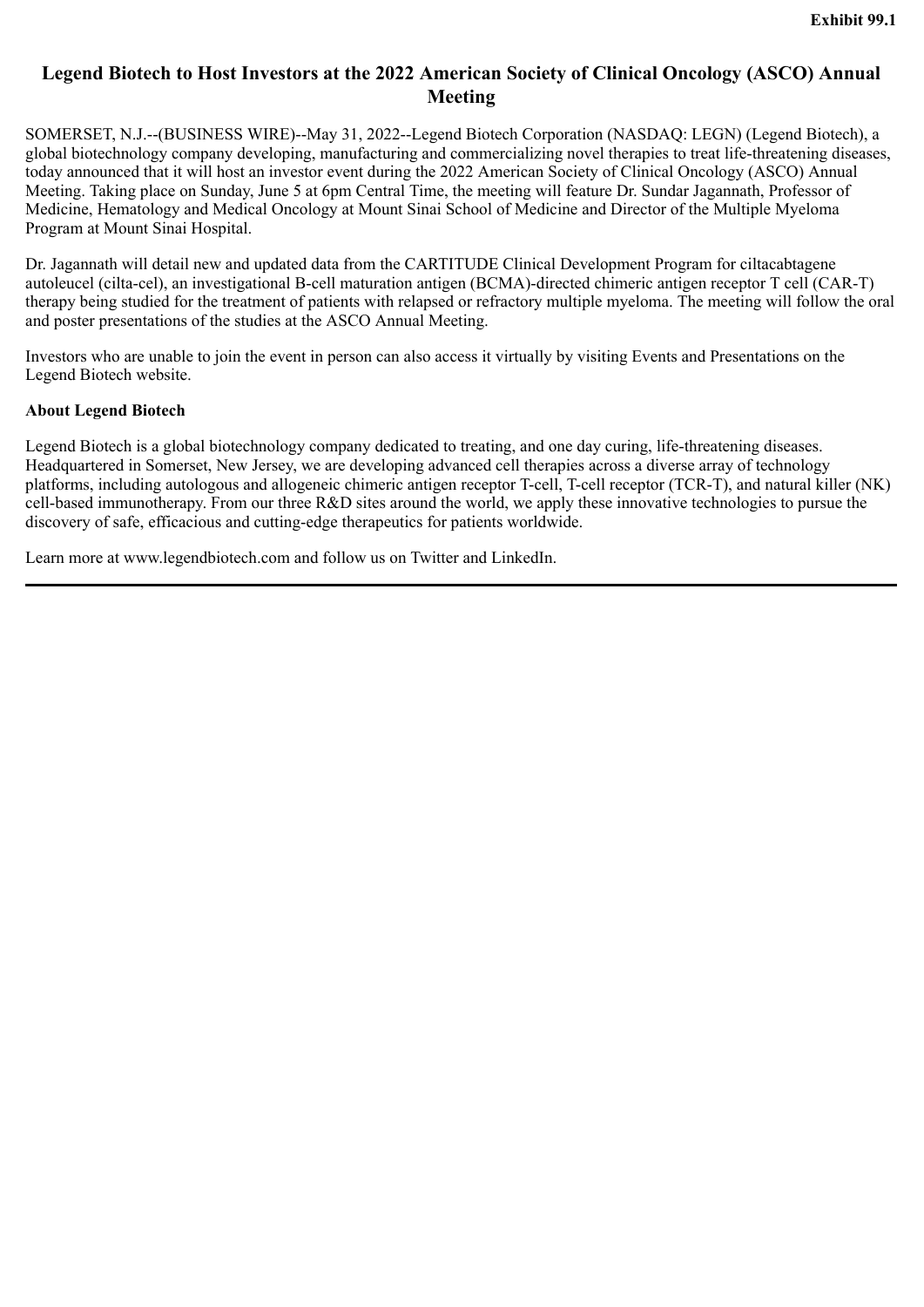# <span id="page-3-0"></span>**Legend Biotech to Host Investors at the 2022 American Society of Clinical Oncology (ASCO) Annual Meeting**

SOMERSET, N.J.--(BUSINESS WIRE)--May 31, 2022--Legend Biotech Corporation (NASDAQ: LEGN) (Legend Biotech), a global biotechnology company developing, manufacturing and commercializing novel therapies to treat life-threatening diseases, today announced that it will host an investor event during the 2022 American Society of Clinical Oncology (ASCO) Annual Meeting. Taking place on Sunday, June 5 at 6pm Central Time, the meeting will feature Dr. Sundar Jagannath, Professor of Medicine, Hematology and Medical Oncology at Mount Sinai School of Medicine and Director of the Multiple Myeloma Program at Mount Sinai Hospital.

Dr. Jagannath will detail new and updated data from the CARTITUDE Clinical Development Program for ciltacabtagene autoleucel (cilta-cel), an investigational B-cell maturation antigen (BCMA)-directed chimeric antigen receptor T cell (CAR-T) therapy being studied for the treatment of patients with relapsed or refractory multiple myeloma. The meeting will follow the oral and poster presentations of the studies at the ASCO Annual Meeting.

Investors who are unable to join the event in person can also access it virtually by visiting Events and Presentations on the Legend Biotech website.

## **About Legend Biotech**

Legend Biotech is a global biotechnology company dedicated to treating, and one day curing, life-threatening diseases. Headquartered in Somerset, New Jersey, we are developing advanced cell therapies across a diverse array of technology platforms, including autologous and allogeneic chimeric antigen receptor T-cell, T-cell receptor (TCR-T), and natural killer (NK) cell-based immunotherapy. From our three R&D sites around the world, we apply these innovative technologies to pursue the discovery of safe, efficacious and cutting-edge therapeutics for patients worldwide.

Learn more at www.legendbiotech.com and follow us on Twitter and LinkedIn.